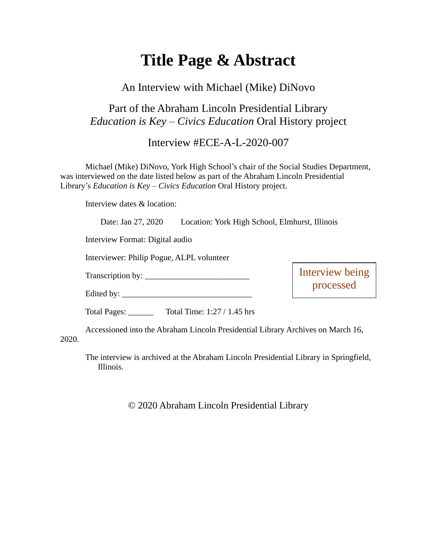# **Title Page & Abstract**

#### An Interview with Michael (Mike) DiNovo

### Part of the Abraham Lincoln Presidential Library *Education is Key – Civics Education* Oral History project

#### Interview #ECE-A-L-2020-007

Michael (Mike) DiNovo, York High School's chair of the Social Studies Department, was interviewed on the date listed below as part of the Abraham Lincoln Presidential Library's *Education is Key – Civics Education* Oral History project.

Interview dates & location:

Date: Jan 27, 2020 Location: York High School, Elmhurst, Illinois

Interview Format: Digital audio

Interviewer: Philip Pogue, ALPL volunteer

Transcription by: \_\_\_\_\_\_\_\_\_\_\_\_\_\_\_\_\_\_\_\_\_\_\_\_\_

Edited by:

Interview being processed

Total Pages: \_\_\_\_\_\_ Total Time: 1:27 / 1.45 hrs

Accessioned into the Abraham Lincoln Presidential Library Archives on March 16, 2020.

The interview is archived at the Abraham Lincoln Presidential Library in Springfield, Illinois.

© 2020 Abraham Lincoln Presidential Library